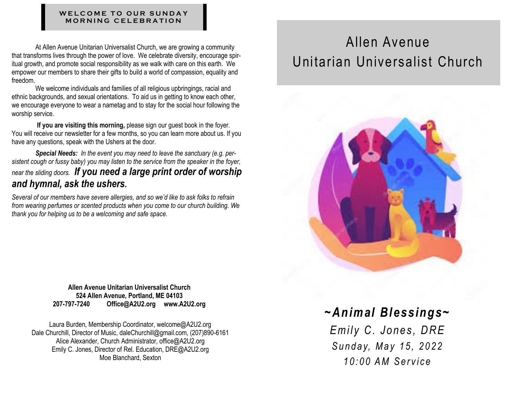#### WELCOME TO OUR SUNDAY **M O R N I N G C E L E B R A T I O N**

At Allen Avenue Unitarian Universalist Church, we are growing a community that transforms lives through the power of love. We celebrate diversity, encourage spiritual growth, and promote social responsibility as we walk with care on this earth. We empower our members to share their gifts to build a world of compassion, equality and freedom.

We welcome individuals and families of all religious upbringings, racial and ethnic backgrounds, and sexual orientations. To aid us in getting to know each other, we encourage everyone to wear a nametag and to stay for the social hour following the worship service.

**If you are visiting this morning,** please sign our guest book in the foyer. You will receive our newsletter for a few months, so you can learn more about us. If you have any questions, speak with the Ushers at the door.

*Special Needs: In the event you may need to leave the sanctuary (e.g. persistent cough or fussy baby) you may listen to the service from the speaker in the foyer, near the sliding doors. If you need a large print order of worship and hymnal, ask the ushers.*

*Several of our members have severe allergies, and so we'd like to ask folks to refrain from wearing perfumes or scented products when you come to our church building. We thank you for helping us to be a welcoming and safe space.*

> **Allen Avenue Unitarian Universalist Church 524 Allen Avenue, Portland, ME 04103 207-797-7240 Office@A2U2.org www.A2U2.org**

Laura Burden, Membership Coordinator, welcome@A2U2.org Dale Churchill, Director of Music, daleChurchill@gmail.com, (207)890-6161 Alice Alexander, Church Administrator, office@A2U2.org Emily C. Jones, Director of Rel. Education, DRE@A2U2.org Moe Blanchard, Sexton

# Allen Avenue Unitarian Universalist Church



# *~Animal Blessings~*

*Emily C. Jones, DRE S u n d a y, M a y 1 5 , 2 0 2 2 1 0 : 0 0 A M S e r v i c e*